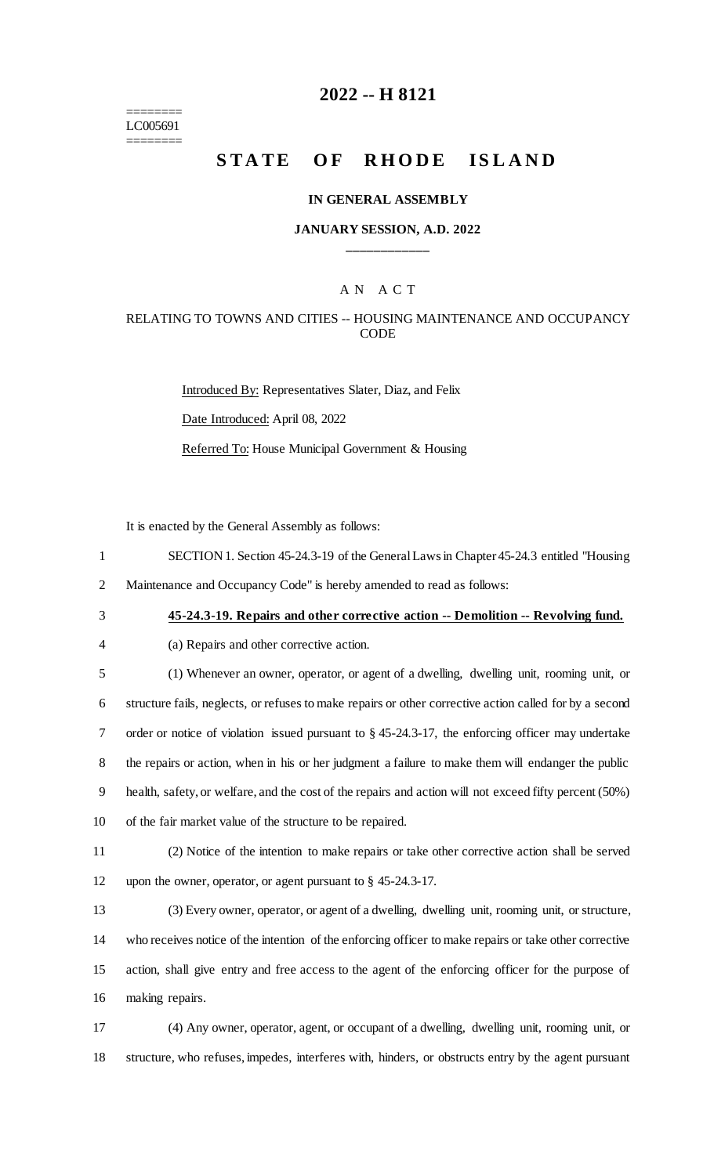======== LC005691 ========

# **2022 -- H 8121**

# **STATE OF RHODE ISLAND**

#### **IN GENERAL ASSEMBLY**

### **JANUARY SESSION, A.D. 2022 \_\_\_\_\_\_\_\_\_\_\_\_**

# A N A C T

### RELATING TO TOWNS AND CITIES -- HOUSING MAINTENANCE AND OCCUPANCY **CODE**

Introduced By: Representatives Slater, Diaz, and Felix Date Introduced: April 08, 2022 Referred To: House Municipal Government & Housing

It is enacted by the General Assembly as follows:

- 1 SECTION 1. Section 45-24.3-19 of the General Lawsin Chapter 45-24.3 entitled "Housing
- 2 Maintenance and Occupancy Code" is hereby amended to read as follows:
- 

3 **45-24.3-19. Repairs and other corrective action -- Demolition -- Revolving fund.**

|  | (a) Repairs and other corrective action. |  |  |  |
|--|------------------------------------------|--|--|--|
|--|------------------------------------------|--|--|--|

 (1) Whenever an owner, operator, or agent of a dwelling, dwelling unit, rooming unit, or structure fails, neglects, or refuses to make repairs or other corrective action called for by a second order or notice of violation issued pursuant to § 45-24.3-17, the enforcing officer may undertake the repairs or action, when in his or her judgment a failure to make them will endanger the public health, safety, or welfare, and the cost of the repairs and action will not exceed fifty percent (50%) of the fair market value of the structure to be repaired.

11 (2) Notice of the intention to make repairs or take other corrective action shall be served 12 upon the owner, operator, or agent pursuant to § 45-24.3-17.

 (3) Every owner, operator, or agent of a dwelling, dwelling unit, rooming unit, or structure, who receives notice of the intention of the enforcing officer to make repairs or take other corrective action, shall give entry and free access to the agent of the enforcing officer for the purpose of making repairs.

17 (4) Any owner, operator, agent, or occupant of a dwelling, dwelling unit, rooming unit, or 18 structure, who refuses, impedes, interferes with, hinders, or obstructs entry by the agent pursuant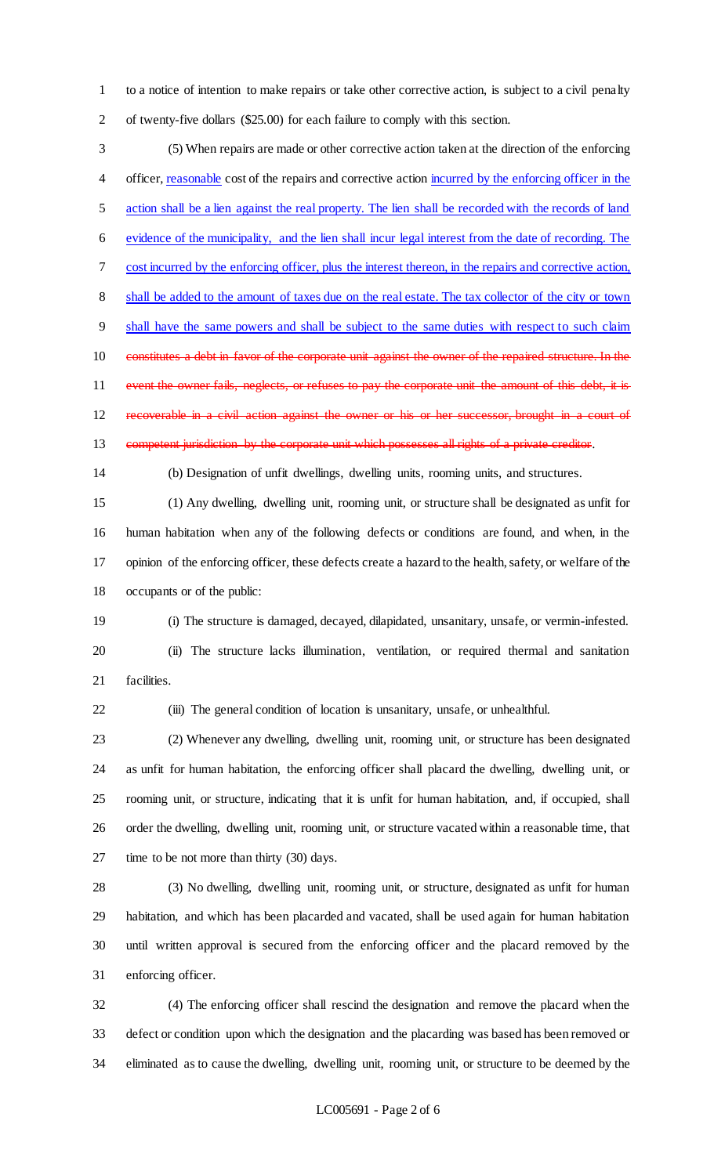to a notice of intention to make repairs or take other corrective action, is subject to a civil penalty of twenty-five dollars (\$25.00) for each failure to comply with this section.

 (5) When repairs are made or other corrective action taken at the direction of the enforcing 4 officer, reasonable cost of the repairs and corrective action incurred by the enforcing officer in the 5 action shall be a lien against the real property. The lien shall be recorded with the records of land evidence of the municipality, and the lien shall incur legal interest from the date of recording. The cost incurred by the enforcing officer, plus the interest thereon, in the repairs and corrective action, shall be added to the amount of taxes due on the real estate. The tax collector of the city or town shall have the same powers and shall be subject to the same duties with respect to such claim 10 constitutes a debt in favor of the corporate unit against the owner of the repaired structure. In the 11 event the owner fails, neglects, or refuses to pay the corporate unit the amount of this debt, it is recoverable in a civil action against the owner or his or her successor, brought in a court of 13 competent jurisdiction by the corporate unit which possesses all rights of a private creditor.

(b) Designation of unfit dwellings, dwelling units, rooming units, and structures.

 (1) Any dwelling, dwelling unit, rooming unit, or structure shall be designated as unfit for human habitation when any of the following defects or conditions are found, and when, in the opinion of the enforcing officer, these defects create a hazard to the health, safety, or welfare of the occupants or of the public:

 (i) The structure is damaged, decayed, dilapidated, unsanitary, unsafe, or vermin-infested. (ii) The structure lacks illumination, ventilation, or required thermal and sanitation facilities.

(iii) The general condition of location is unsanitary, unsafe, or unhealthful.

 (2) Whenever any dwelling, dwelling unit, rooming unit, or structure has been designated as unfit for human habitation, the enforcing officer shall placard the dwelling, dwelling unit, or rooming unit, or structure, indicating that it is unfit for human habitation, and, if occupied, shall order the dwelling, dwelling unit, rooming unit, or structure vacated within a reasonable time, that time to be not more than thirty (30) days.

 (3) No dwelling, dwelling unit, rooming unit, or structure, designated as unfit for human habitation, and which has been placarded and vacated, shall be used again for human habitation until written approval is secured from the enforcing officer and the placard removed by the enforcing officer.

 (4) The enforcing officer shall rescind the designation and remove the placard when the defect or condition upon which the designation and the placarding was based has been removed or eliminated as to cause the dwelling, dwelling unit, rooming unit, or structure to be deemed by the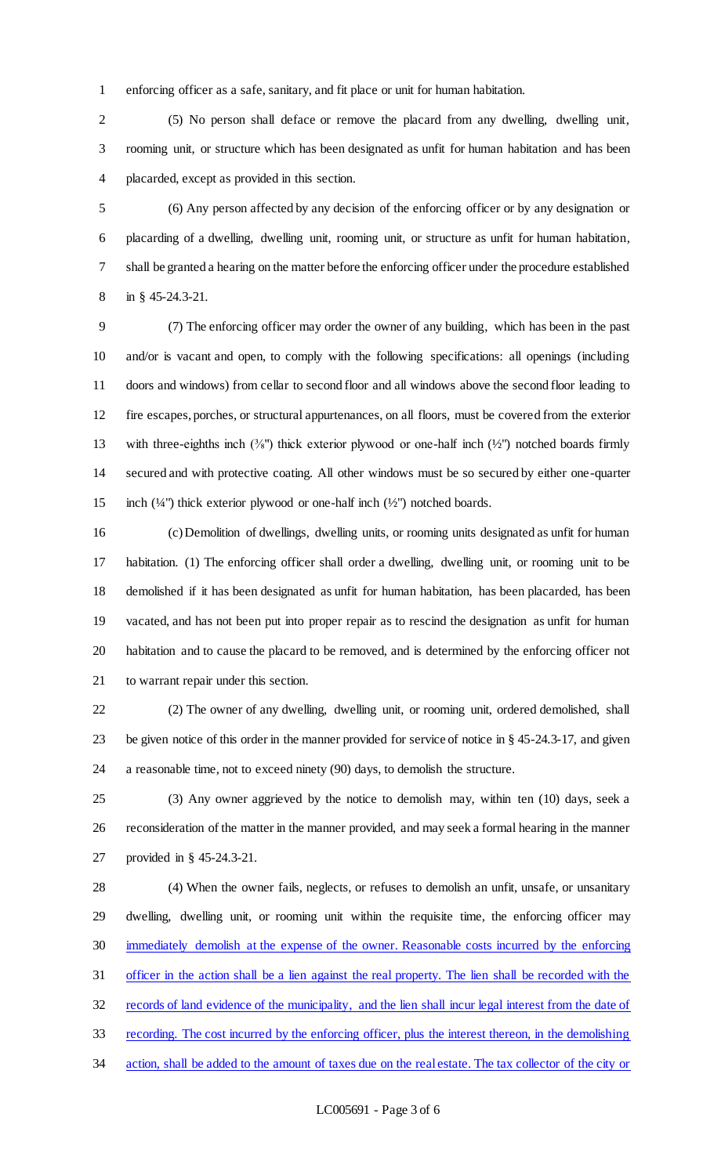enforcing officer as a safe, sanitary, and fit place or unit for human habitation.

 (5) No person shall deface or remove the placard from any dwelling, dwelling unit, rooming unit, or structure which has been designated as unfit for human habitation and has been placarded, except as provided in this section.

 (6) Any person affected by any decision of the enforcing officer or by any designation or placarding of a dwelling, dwelling unit, rooming unit, or structure as unfit for human habitation, shall be granted a hearing on the matter before the enforcing officer under the procedure established in § 45-24.3-21.

 (7) The enforcing officer may order the owner of any building, which has been in the past and/or is vacant and open, to comply with the following specifications: all openings (including doors and windows) from cellar to second floor and all windows above the second floor leading to fire escapes, porches, or structural appurtenances, on all floors, must be covered from the exterior 13 with three-eighths inch  $(\frac{3}{8})$  thick exterior plywood or one-half inch  $(\frac{1}{2})$  notched boards firmly secured and with protective coating. All other windows must be so secured by either one-quarter 15 inch  $(½")$  thick exterior plywood or one-half inch  $(½")$  notched boards.

 (c) Demolition of dwellings, dwelling units, or rooming units designated as unfit for human habitation. (1) The enforcing officer shall order a dwelling, dwelling unit, or rooming unit to be demolished if it has been designated as unfit for human habitation, has been placarded, has been vacated, and has not been put into proper repair as to rescind the designation as unfit for human habitation and to cause the placard to be removed, and is determined by the enforcing officer not to warrant repair under this section.

 (2) The owner of any dwelling, dwelling unit, or rooming unit, ordered demolished, shall be given notice of this order in the manner provided for service of notice in § 45-24.3-17, and given a reasonable time, not to exceed ninety (90) days, to demolish the structure.

 (3) Any owner aggrieved by the notice to demolish may, within ten (10) days, seek a reconsideration of the matter in the manner provided, and may seek a formal hearing in the manner provided in § 45-24.3-21.

 (4) When the owner fails, neglects, or refuses to demolish an unfit, unsafe, or unsanitary dwelling, dwelling unit, or rooming unit within the requisite time, the enforcing officer may immediately demolish at the expense of the owner. Reasonable costs incurred by the enforcing officer in the action shall be a lien against the real property. The lien shall be recorded with the 32 records of land evidence of the municipality, and the lien shall incur legal interest from the date of recording. The cost incurred by the enforcing officer, plus the interest thereon, in the demolishing action, shall be added to the amount of taxes due on the real estate. The tax collector of the city or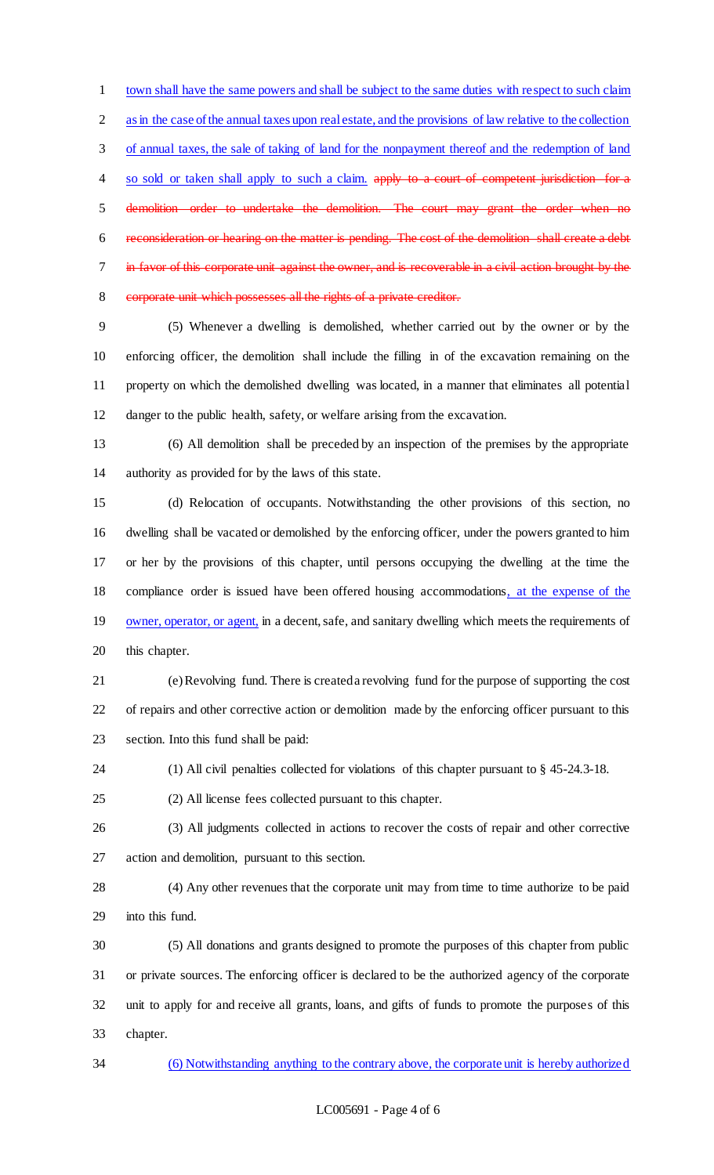town shall have the same powers and shall be subject to the same duties with respect to such claim as in the case of the annual taxes upon real estate, and the provisions of law relative to the collection of annual taxes, the sale of taking of land for the nonpayment thereof and the redemption of land 4 so sold or taken shall apply to such a claim. apply to a court of competent jurisdiction for a demolition order to undertake the demolition. The court may grant the order when no reconsideration or hearing on the matter is pending. The cost of the demolition shall create a debt in favor of this corporate unit against the owner, and is recoverable in a civil action brought by the corporate unit which possesses all the rights of a private creditor.

 (5) Whenever a dwelling is demolished, whether carried out by the owner or by the enforcing officer, the demolition shall include the filling in of the excavation remaining on the property on which the demolished dwelling was located, in a manner that eliminates all potential danger to the public health, safety, or welfare arising from the excavation.

 (6) All demolition shall be preceded by an inspection of the premises by the appropriate authority as provided for by the laws of this state.

 (d) Relocation of occupants. Notwithstanding the other provisions of this section, no dwelling shall be vacated or demolished by the enforcing officer, under the powers granted to him or her by the provisions of this chapter, until persons occupying the dwelling at the time the compliance order is issued have been offered housing accommodations, at the expense of the 19 owner, operator, or agent, in a decent, safe, and sanitary dwelling which meets the requirements of this chapter.

 (e) Revolving fund. There is created a revolving fund for the purpose of supporting the cost of repairs and other corrective action or demolition made by the enforcing officer pursuant to this section. Into this fund shall be paid:

(1) All civil penalties collected for violations of this chapter pursuant to § 45-24.3-18.

(2) All license fees collected pursuant to this chapter.

 (3) All judgments collected in actions to recover the costs of repair and other corrective action and demolition, pursuant to this section.

 (4) Any other revenues that the corporate unit may from time to time authorize to be paid into this fund.

 (5) All donations and grants designed to promote the purposes of this chapter from public or private sources. The enforcing officer is declared to be the authorized agency of the corporate unit to apply for and receive all grants, loans, and gifts of funds to promote the purposes of this chapter.

(6) Notwithstanding anything to the contrary above, the corporate unit is hereby authorized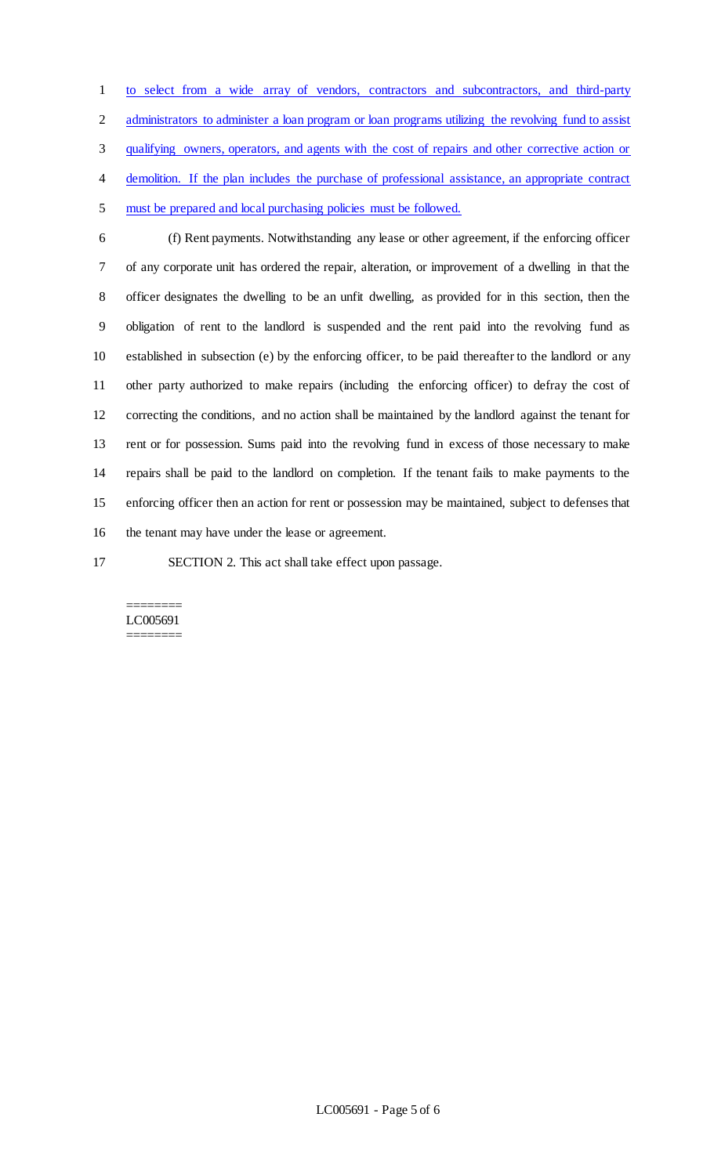to select from a wide array of vendors, contractors and subcontractors, and third-party 2 administrators to administer a loan program or loan programs utilizing the revolving fund to assist qualifying owners, operators, and agents with the cost of repairs and other corrective action or 4 demolition. If the plan includes the purchase of professional assistance, an appropriate contract must be prepared and local purchasing policies must be followed.

 (f) Rent payments. Notwithstanding any lease or other agreement, if the enforcing officer of any corporate unit has ordered the repair, alteration, or improvement of a dwelling in that the officer designates the dwelling to be an unfit dwelling, as provided for in this section, then the obligation of rent to the landlord is suspended and the rent paid into the revolving fund as established in subsection (e) by the enforcing officer, to be paid thereafter to the landlord or any other party authorized to make repairs (including the enforcing officer) to defray the cost of correcting the conditions, and no action shall be maintained by the landlord against the tenant for rent or for possession. Sums paid into the revolving fund in excess of those necessary to make repairs shall be paid to the landlord on completion. If the tenant fails to make payments to the enforcing officer then an action for rent or possession may be maintained, subject to defenses that the tenant may have under the lease or agreement.

SECTION 2. This act shall take effect upon passage.

#### ======== LC005691 ========